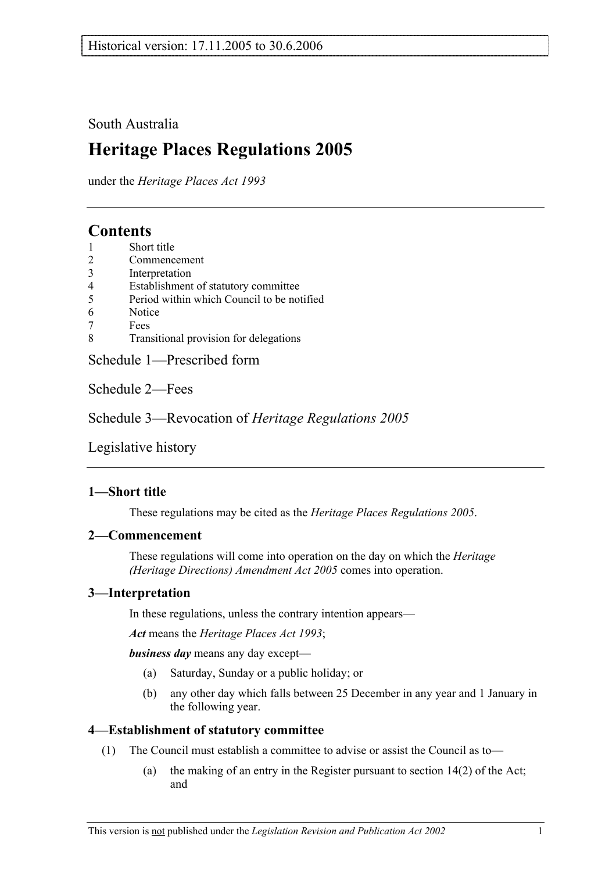## South Australia

# **Heritage Places Regulations 2005**

under the *Heritage Places Act 1993*

## **Contents**

- 1 Short title
- 2 Commencement
- 3 Interpretation
- 4 Establishment of statutory committee
- 5 Period within which Council to be notified
- 6 Notice
- 7 Fees
- 8 Transitional provision for delegations

Schedule 1—Prescribed form

Schedule 2—Fees

Schedule 3—Revocation of *Heritage Regulations 2005*

Legislative history

## **1—Short title**

These regulations may be cited as the *Heritage Places Regulations 2005*.

## **2—Commencement**

These regulations will come into operation on the day on which the *Heritage (Heritage Directions) Amendment Act 2005* comes into operation.

## **3—Interpretation**

In these regulations, unless the contrary intention appears—

*Act* means the *Heritage Places Act 1993*;

*business day* means any day except—

- (a) Saturday, Sunday or a public holiday; or
- (b) any other day which falls between 25 December in any year and 1 January in the following year.

## **4—Establishment of statutory committee**

- (1) The Council must establish a committee to advise or assist the Council as to—
	- (a) the making of an entry in the Register pursuant to section 14(2) of the Act; and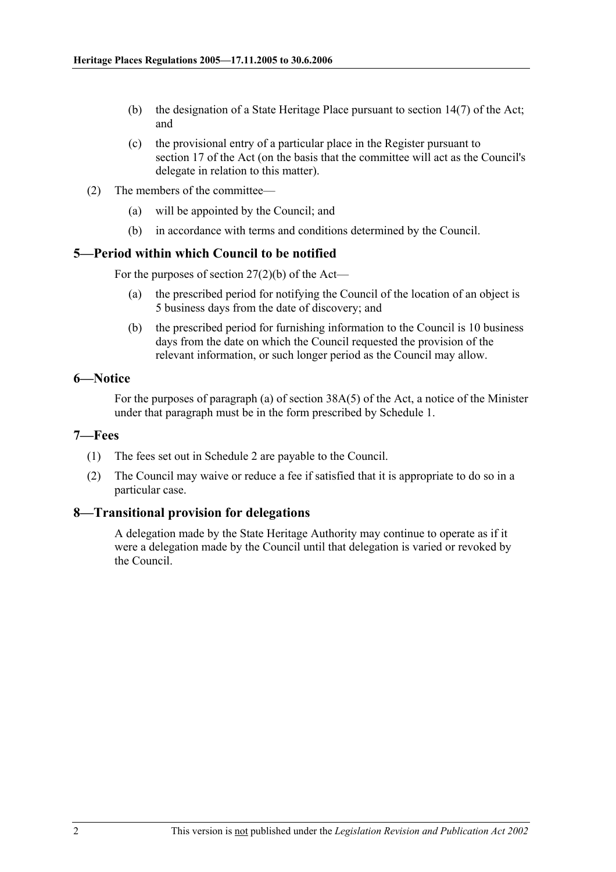- (b) the designation of a State Heritage Place pursuant to section 14(7) of the Act; and
- (c) the provisional entry of a particular place in the Register pursuant to section 17 of the Act (on the basis that the committee will act as the Council's delegate in relation to this matter).
- (2) The members of the committee—
	- (a) will be appointed by the Council; and
	- (b) in accordance with terms and conditions determined by the Council.

## **5—Period within which Council to be notified**

For the purposes of section  $27(2)(b)$  of the Act—

- (a) the prescribed period for notifying the Council of the location of an object is 5 business days from the date of discovery; and
- (b) the prescribed period for furnishing information to the Council is 10 business days from the date on which the Council requested the provision of the relevant information, or such longer period as the Council may allow.

## **6—Notice**

For the purposes of paragraph (a) of section 38A(5) of the Act, a notice of the Minister under that paragraph must be in the form prescribed by Schedule 1.

### **7—Fees**

- (1) The fees set out in Schedule 2 are payable to the Council.
- (2) The Council may waive or reduce a fee if satisfied that it is appropriate to do so in a particular case.

## **8—Transitional provision for delegations**

A delegation made by the State Heritage Authority may continue to operate as if it were a delegation made by the Council until that delegation is varied or revoked by the Council.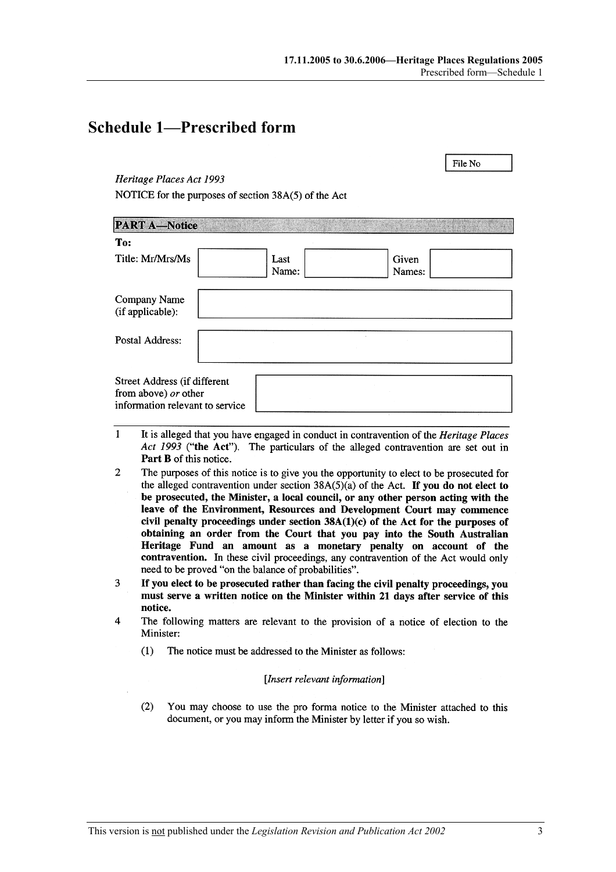File No

## **Schedule 1—Prescribed form**

### Heritage Places Act 1993

NOTICE for the purposes of section 38A(5) of the Act

| <b>PART A-Notice</b>                                                                    |               |                 |  |
|-----------------------------------------------------------------------------------------|---------------|-----------------|--|
| To:                                                                                     |               |                 |  |
| Title: Mr/Mrs/Ms                                                                        | Last<br>Name: | Given<br>Names: |  |
| Company Name<br>(if applicable):                                                        |               |                 |  |
| Postal Address:                                                                         |               |                 |  |
| Street Address (if different<br>from above) or other<br>information relevant to service |               |                 |  |

- $\mathbf{1}$ It is alleged that you have engaged in conduct in contravention of the Heritage Places Act 1993 ("the Act"). The particulars of the alleged contravention are set out in Part B of this notice.
- $\overline{2}$ The purposes of this notice is to give you the opportunity to elect to be prosecuted for the alleged contravention under section  $38A(5)(a)$  of the Act. If you do not elect to be prosecuted, the Minister, a local council, or any other person acting with the leave of the Environment, Resources and Development Court may commence civil penalty proceedings under section  $38A(1)(c)$  of the Act for the purposes of obtaining an order from the Court that you pay into the South Australian Heritage Fund an amount as a monetary penalty on account of the contravention. In these civil proceedings, any contravention of the Act would only need to be proved "on the balance of probabilities".
- If you elect to be prosecuted rather than facing the civil penalty proceedings, you 3 must serve a written notice on the Minister within 21 days after service of this notice.
- $\overline{\mathbf{A}}$ The following matters are relevant to the provision of a notice of election to the Minister:
	- $(1)$ The notice must be addressed to the Minister as follows:

### [Insert relevant information]

 $(2)$ You may choose to use the pro forma notice to the Minister attached to this document, or you may inform the Minister by letter if you so wish.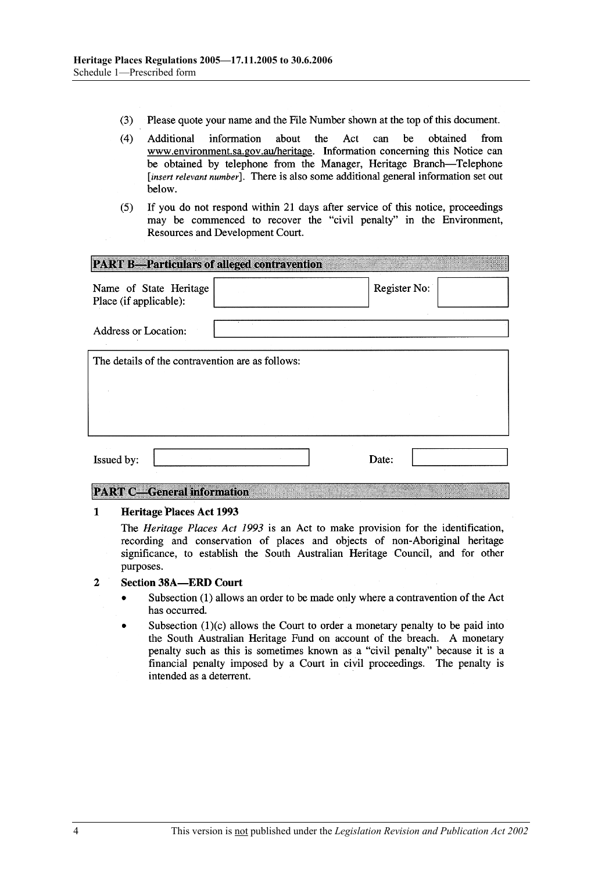- $(3)$ Please quote your name and the File Number shown at the top of this document.
- $(4)$ be Additional information about the Act can obtained from www.environment.sa.gov.au/heritage. Information concerning this Notice can be obtained by telephone from the Manager, Heritage Branch-Telephone [insert relevant number]. There is also some additional general information set out below.
- If you do not respond within 21 days after service of this notice, proceedings  $(5)$ may be commenced to recover the "civil penalty" in the Environment, Resources and Development Court.

| <b>PART B-Particulars of alleged contravention</b> |              |
|----------------------------------------------------|--------------|
| Name of State Heritage<br>Place (if applicable):   | Register No: |
| Address or Location:                               |              |
| The details of the contravention are as follows:   |              |
|                                                    |              |
|                                                    |              |
| Issued by:                                         | Date:        |

### **PART C-General information**

#### $\mathbf{1}$ **Heritage Places Act 1993**

The *Heritage Places Act 1993* is an Act to make provision for the identification, recording and conservation of places and objects of non-Aboriginal heritage significance, to establish the South Australian Heritage Council, and for other purposes.

#### $\overline{2}$ **Section 38A-ERD Court**

- Subsection (1) allows an order to be made only where a contravention of the Act  $\bullet$ has occurred.
- Subsection (1)(c) allows the Court to order a monetary penalty to be paid into the South Australian Heritage Fund on account of the breach. A monetary penalty such as this is sometimes known as a "civil penalty" because it is a financial penalty imposed by a Court in civil proceedings. The penalty is intended as a deterrent.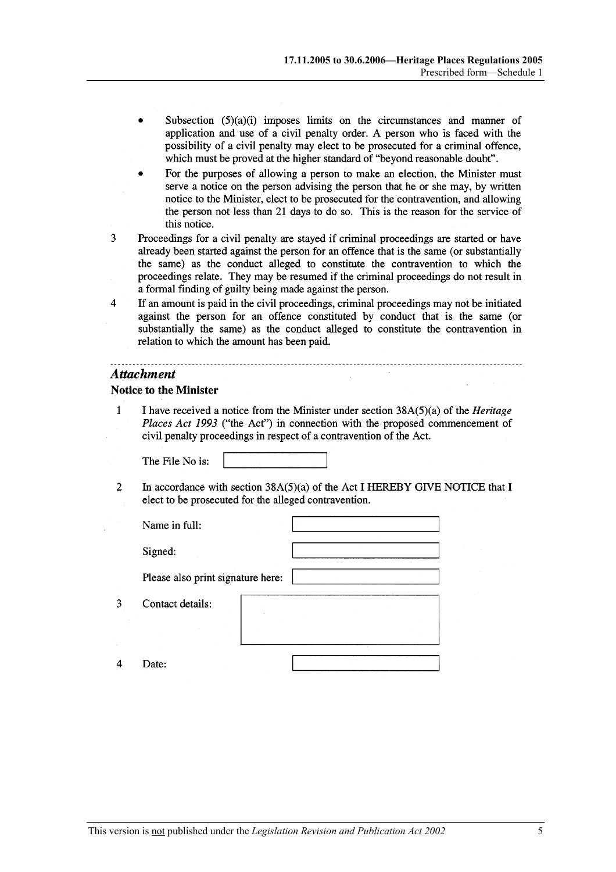- Subsection  $(5)(a)(i)$  imposes limits on the circumstances and manner of application and use of a civil penalty order. A person who is faced with the possibility of a civil penalty may elect to be prosecuted for a criminal offence, which must be proved at the higher standard of "beyond reasonable doubt".
- For the purposes of allowing a person to make an election, the Minister must serve a notice on the person advising the person that he or she may, by written notice to the Minister, elect to be prosecuted for the contravention, and allowing the person not less than 21 days to do so. This is the reason for the service of this notice.
- 3 Proceedings for a civil penalty are stayed if criminal proceedings are started or have already been started against the person for an offence that is the same (or substantially the same) as the conduct alleged to constitute the contravention to which the proceedings relate. They may be resumed if the criminal proceedings do not result in a formal finding of guilty being made against the person.
- $\overline{4}$ If an amount is paid in the civil proceedings, criminal proceedings may not be initiated against the person for an offence constituted by conduct that is the same (or substantially the same) as the conduct alleged to constitute the contravention in relation to which the amount has been paid.

#### **Attachment**

3

 $\overline{4}$ 

#### **Notice to the Minister**

 $\mathbf{1}$ I have received a notice from the Minister under section  $38A(5)(a)$  of the *Heritage* Places Act 1993 ("the Act") in connection with the proposed commencement of civil penalty proceedings in respect of a contravention of the Act.

The File No is:

In accordance with section  $38A(5)(a)$  of the Act I HEREBY GIVE NOTICE that I  $\overline{2}$ elect to be prosecuted for the alleged contravention.

| Name in full:                     |  |  |
|-----------------------------------|--|--|
| Signed:                           |  |  |
| Please also print signature here: |  |  |
| Contact details:                  |  |  |
| Date:                             |  |  |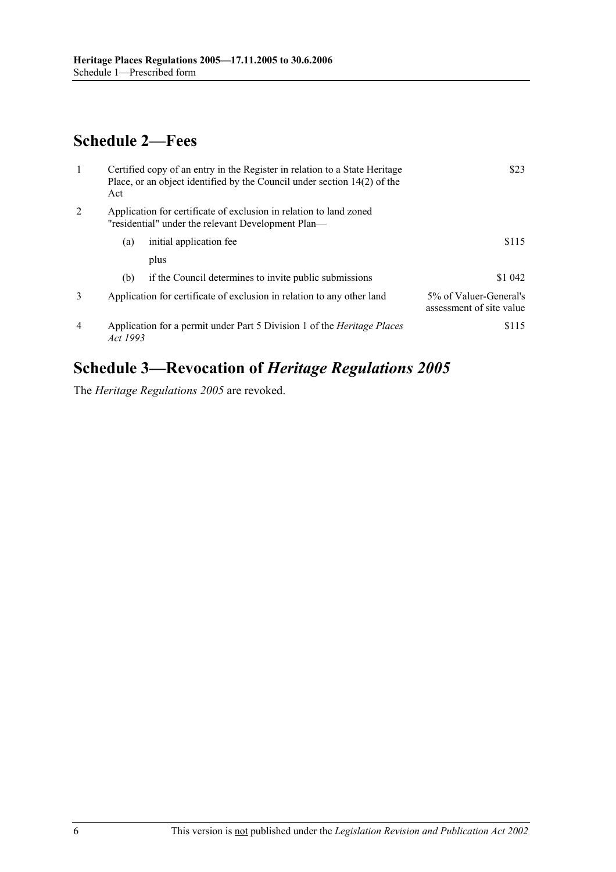# **Schedule 2—Fees**

| $\overline{1}$ | Act      | Certified copy of an entry in the Register in relation to a State Heritage<br>Place, or an object identified by the Council under section 14(2) of the | \$23                                               |
|----------------|----------|--------------------------------------------------------------------------------------------------------------------------------------------------------|----------------------------------------------------|
| 2              |          | Application for certificate of exclusion in relation to land zoned<br>"residential" under the relevant Development Plan—                               |                                                    |
|                | (a)      | initial application fee                                                                                                                                | \$115                                              |
|                |          | plus                                                                                                                                                   |                                                    |
|                | (b)      | if the Council determines to invite public submissions                                                                                                 | \$1 042                                            |
| 3              |          | Application for certificate of exclusion in relation to any other land                                                                                 | 5% of Valuer-General's<br>assessment of site value |
| $\overline{4}$ | Act 1993 | Application for a permit under Part 5 Division 1 of the <i>Heritage Places</i>                                                                         | \$115                                              |

# **Schedule 3—Revocation of** *Heritage Regulations 2005*

The *Heritage Regulations 2005* are revoked.